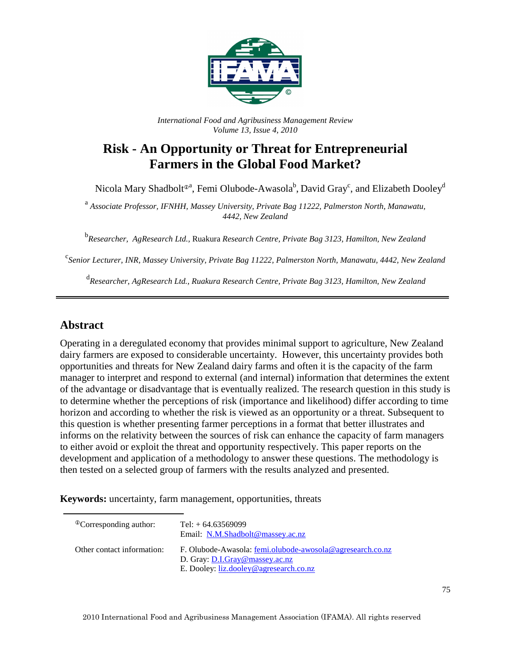

*International Food and Agribusiness Management Review Volume 13, Issue 4, 2010*

# **Risk - An Opportunity or Threat for Entrepreneurial Farmers in the Global Food Market?**

Nicola Mary Shadbolt<sup>®a</sup>, Femi Olubode-Awasola<sup>b</sup>, David Gray<sup>c</sup>, and Elizabeth Dooley<sup>d</sup>

<sup>a</sup> Associate Professor, IFNHH, Massey University, Private Bag 11222, Palmerston North, Manawatu, *4442, New Zealand* 

b *Researcher, AgResearch Ltd.,* Ruakura *Research Centre, Private Bag 3123, Hamilton, New Zealand* 

c *Senior Lecturer, INR, Massey University, Private Bag 11222, Palmerston North, Manawatu, 4442, New Zealand* 

d *Researcher, AgResearch Ltd., Ruakura Research Centre, Private Bag 3123, Hamilton, New Zealand* 

### **Abstract**

Operating in a deregulated economy that provides minimal support to agriculture, New Zealand dairy farmers are exposed to considerable uncertainty. However, this uncertainty provides both opportunities and threats for New Zealand dairy farms and often it is the capacity of the farm manager to interpret and respond to external (and internal) information that determines the extent of the advantage or disadvantage that is eventually realized. The research question in this study is to determine whether the perceptions of risk (importance and likelihood) differ according to time horizon and according to whether the risk is viewed as an opportunity or a threat. Subsequent to this question is whether presenting farmer perceptions in a format that better illustrates and informs on the relativity between the sources of risk can enhance the capacity of farm managers to either avoid or exploit the threat and opportunity respectively. This paper reports on the development and application of a methodology to answer these questions. The methodology is then tested on a selected group of farmers with the results analyzed and presented.

**Keywords:** uncertainty, farm management, opportunities, threats

| <sup>®</sup> Corresponding author: | Tel: $+ 64.63569099$<br>Email: N.M.Shadbolt@massey.ac.nz                                                                              |
|------------------------------------|---------------------------------------------------------------------------------------------------------------------------------------|
| Other contact information:         | F. Olubode-Awasola: femi.olubode-awosola@agresearch.co.nz<br>D. Gray: D.I.Gray@massey.ac.nz<br>E. Dooley: liz.dooley@agresearch.co.nz |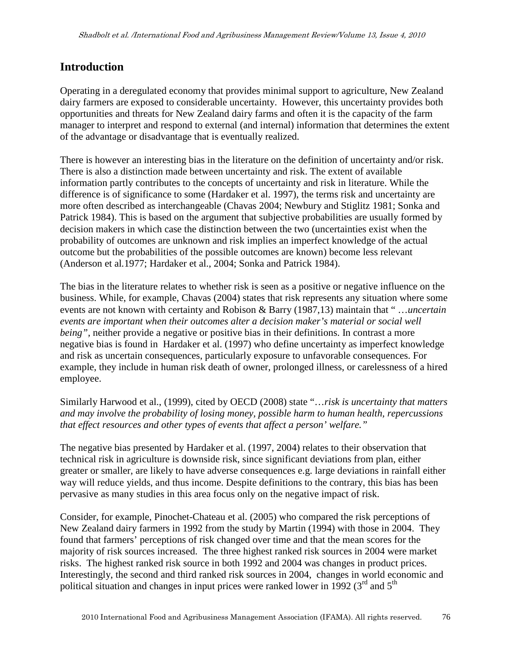### **Introduction**

Operating in a deregulated economy that provides minimal support to agriculture, New Zealand dairy farmers are exposed to considerable uncertainty. However, this uncertainty provides both opportunities and threats for New Zealand dairy farms and often it is the capacity of the farm manager to interpret and respond to external (and internal) information that determines the extent of the advantage or disadvantage that is eventually realized.

There is however an interesting bias in the literature on the definition of uncertainty and/or risk. There is also a distinction made between uncertainty and risk. The extent of available information partly contributes to the concepts of uncertainty and risk in literature. While the difference is of significance to some (Hardaker et al. 1997), the terms risk and uncertainty are more often described as interchangeable (Chavas 2004; Newbury and Stiglitz 1981; Sonka and Patrick 1984). This is based on the argument that subjective probabilities are usually formed by decision makers in which case the distinction between the two (uncertainties exist when the probability of outcomes are unknown and risk implies an imperfect knowledge of the actual outcome but the probabilities of the possible outcomes are known) become less relevant (Anderson et al*.*1977; Hardaker et al., 2004; Sonka and Patrick 1984).

The bias in the literature relates to whether risk is seen as a positive or negative influence on the business. While, for example, Chavas (2004) states that risk represents any situation where some events are not known with certainty and Robison & Barry (1987,13) maintain that " …*uncertain events are important when their outcomes alter a decision maker's material or social well being"*, neither provide a negative or positive bias in their definitions. In contrast a more negative bias is found in Hardaker et al. (1997) who define uncertainty as imperfect knowledge and risk as uncertain consequences, particularly exposure to unfavorable consequences. For example, they include in human risk death of owner, prolonged illness, or carelessness of a hired employee.

Similarly Harwood et al., (1999), cited by OECD (2008) state "…*risk is uncertainty that matters and may involve the probability of losing money, possible harm to human health, repercussions that effect resources and other types of events that affect a person' welfare."* 

The negative bias presented by Hardaker et al. (1997, 2004) relates to their observation that technical risk in agriculture is downside risk, since significant deviations from plan, either greater or smaller, are likely to have adverse consequences e.g. large deviations in rainfall either way will reduce yields, and thus income. Despite definitions to the contrary, this bias has been pervasive as many studies in this area focus only on the negative impact of risk.

Consider, for example, Pinochet-Chateau et al. (2005) who compared the risk perceptions of New Zealand dairy farmers in 1992 from the study by Martin (1994) with those in 2004. They found that farmers' perceptions of risk changed over time and that the mean scores for the majority of risk sources increased. The three highest ranked risk sources in 2004 were market risks. The highest ranked risk source in both 1992 and 2004 was changes in product prices. Interestingly, the second and third ranked risk sources in 2004, changes in world economic and political situation and changes in input prices were ranked lower in 1992 ( $3<sup>rd</sup>$  and  $5<sup>th</sup>$ )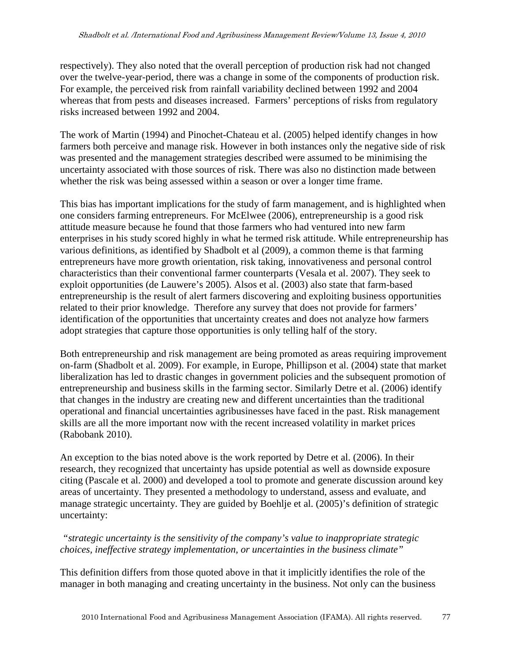respectively). They also noted that the overall perception of production risk had not changed over the twelve-year-period, there was a change in some of the components of production risk. For example, the perceived risk from rainfall variability declined between 1992 and 2004 whereas that from pests and diseases increased. Farmers' perceptions of risks from regulatory risks increased between 1992 and 2004.

The work of Martin (1994) and Pinochet-Chateau et al. (2005) helped identify changes in how farmers both perceive and manage risk. However in both instances only the negative side of risk was presented and the management strategies described were assumed to be minimising the uncertainty associated with those sources of risk. There was also no distinction made between whether the risk was being assessed within a season or over a longer time frame.

This bias has important implications for the study of farm management, and is highlighted when one considers farming entrepreneurs. For McElwee (2006), entrepreneurship is a good risk attitude measure because he found that those farmers who had ventured into new farm enterprises in his study scored highly in what he termed risk attitude. While entrepreneurship has various definitions, as identified by Shadbolt et al (2009), a common theme is that farming entrepreneurs have more growth orientation, risk taking, innovativeness and personal control characteristics than their conventional farmer counterparts (Vesala et al. 2007). They seek to exploit opportunities (de Lauwere's 2005). Alsos et al. (2003) also state that farm-based entrepreneurship is the result of alert farmers discovering and exploiting business opportunities related to their prior knowledge. Therefore any survey that does not provide for farmers' identification of the opportunities that uncertainty creates and does not analyze how farmers adopt strategies that capture those opportunities is only telling half of the story.

Both entrepreneurship and risk management are being promoted as areas requiring improvement on-farm (Shadbolt et al. 2009). For example, in Europe, Phillipson et al. (2004) state that market liberalization has led to drastic changes in government policies and the subsequent promotion of entrepreneurship and business skills in the farming sector. Similarly Detre et al. (2006) identify that changes in the industry are creating new and different uncertainties than the traditional operational and financial uncertainties agribusinesses have faced in the past. Risk management skills are all the more important now with the recent increased volatility in market prices (Rabobank 2010).

An exception to the bias noted above is the work reported by Detre et al. (2006). In their research, they recognized that uncertainty has upside potential as well as downside exposure citing (Pascale et al. 2000) and developed a tool to promote and generate discussion around key areas of uncertainty. They presented a methodology to understand, assess and evaluate, and manage strategic uncertainty. They are guided by Boehlje et al. (2005)'s definition of strategic uncertainty:

 *"strategic uncertainty is the sensitivity of the company's value to inappropriate strategic choices, ineffective strategy implementation, or uncertainties in the business climate"*

This definition differs from those quoted above in that it implicitly identifies the role of the manager in both managing and creating uncertainty in the business. Not only can the business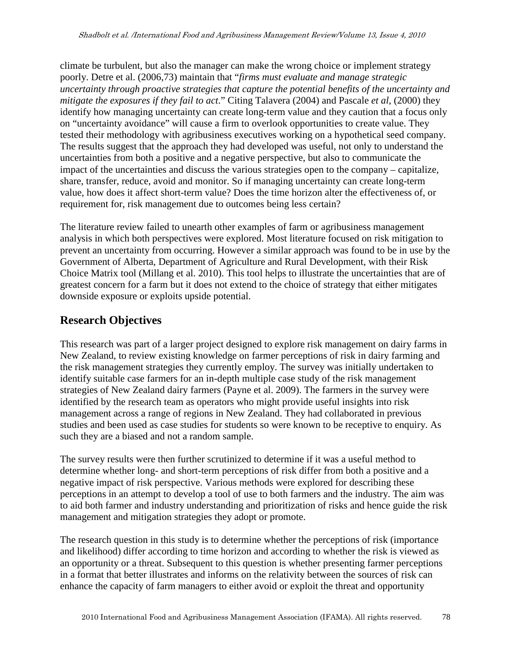climate be turbulent, but also the manager can make the wrong choice or implement strategy poorly. Detre et al. (2006,73) maintain that "*firms must evaluate and manage strategic uncertainty through proactive strategies that capture the potential benefits of the uncertainty and mitigate the exposures if they fail to act*." Citing Talavera (2004) and Pascale *et al*, (2000) they identify how managing uncertainty can create long-term value and they caution that a focus only on "uncertainty avoidance" will cause a firm to overlook opportunities to create value. They tested their methodology with agribusiness executives working on a hypothetical seed company. The results suggest that the approach they had developed was useful, not only to understand the uncertainties from both a positive and a negative perspective, but also to communicate the impact of the uncertainties and discuss the various strategies open to the company – capitalize, share, transfer, reduce, avoid and monitor. So if managing uncertainty can create long-term value, how does it affect short-term value? Does the time horizon alter the effectiveness of, or requirement for, risk management due to outcomes being less certain?

The literature review failed to unearth other examples of farm or agribusiness management analysis in which both perspectives were explored. Most literature focused on risk mitigation to prevent an uncertainty from occurring. However a similar approach was found to be in use by the Government of Alberta, Department of Agriculture and Rural Development, with their Risk Choice Matrix tool (Millang et al. 2010). This tool helps to illustrate the uncertainties that are of greatest concern for a farm but it does not extend to the choice of strategy that either mitigates downside exposure or exploits upside potential.

# **Research Objectives**

This research was part of a larger project designed to explore risk management on dairy farms in New Zealand, to review existing knowledge on farmer perceptions of risk in dairy farming and the risk management strategies they currently employ. The survey was initially undertaken to identify suitable case farmers for an in-depth multiple case study of the risk management strategies of New Zealand dairy farmers (Payne et al. 2009). The farmers in the survey were identified by the research team as operators who might provide useful insights into risk management across a range of regions in New Zealand. They had collaborated in previous studies and been used as case studies for students so were known to be receptive to enquiry. As such they are a biased and not a random sample.

The survey results were then further scrutinized to determine if it was a useful method to determine whether long- and short-term perceptions of risk differ from both a positive and a negative impact of risk perspective. Various methods were explored for describing these perceptions in an attempt to develop a tool of use to both farmers and the industry. The aim was to aid both farmer and industry understanding and prioritization of risks and hence guide the risk management and mitigation strategies they adopt or promote.

The research question in this study is to determine whether the perceptions of risk (importance and likelihood) differ according to time horizon and according to whether the risk is viewed as an opportunity or a threat. Subsequent to this question is whether presenting farmer perceptions in a format that better illustrates and informs on the relativity between the sources of risk can enhance the capacity of farm managers to either avoid or exploit the threat and opportunity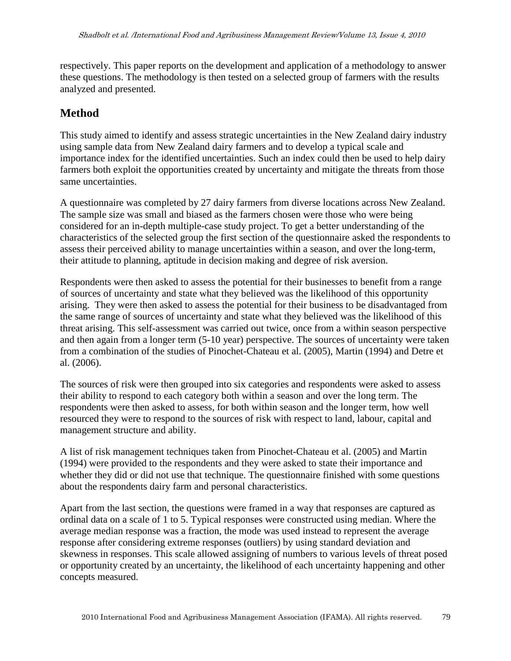respectively. This paper reports on the development and application of a methodology to answer these questions. The methodology is then tested on a selected group of farmers with the results analyzed and presented.

# **Method**

This study aimed to identify and assess strategic uncertainties in the New Zealand dairy industry using sample data from New Zealand dairy farmers and to develop a typical scale and importance index for the identified uncertainties. Such an index could then be used to help dairy farmers both exploit the opportunities created by uncertainty and mitigate the threats from those same uncertainties.

A questionnaire was completed by 27 dairy farmers from diverse locations across New Zealand. The sample size was small and biased as the farmers chosen were those who were being considered for an in-depth multiple-case study project. To get a better understanding of the characteristics of the selected group the first section of the questionnaire asked the respondents to assess their perceived ability to manage uncertainties within a season, and over the long-term, their attitude to planning, aptitude in decision making and degree of risk aversion.

Respondents were then asked to assess the potential for their businesses to benefit from a range of sources of uncertainty and state what they believed was the likelihood of this opportunity arising. They were then asked to assess the potential for their business to be disadvantaged from the same range of sources of uncertainty and state what they believed was the likelihood of this threat arising. This self-assessment was carried out twice, once from a within season perspective and then again from a longer term (5-10 year) perspective. The sources of uncertainty were taken from a combination of the studies of Pinochet-Chateau et al. (2005), Martin (1994) and Detre et al. (2006).

The sources of risk were then grouped into six categories and respondents were asked to assess their ability to respond to each category both within a season and over the long term. The respondents were then asked to assess, for both within season and the longer term, how well resourced they were to respond to the sources of risk with respect to land, labour, capital and management structure and ability.

A list of risk management techniques taken from Pinochet-Chateau et al. (2005) and Martin (1994) were provided to the respondents and they were asked to state their importance and whether they did or did not use that technique. The questionnaire finished with some questions about the respondents dairy farm and personal characteristics.

Apart from the last section, the questions were framed in a way that responses are captured as ordinal data on a scale of 1 to 5. Typical responses were constructed using median. Where the average median response was a fraction, the mode was used instead to represent the average response after considering extreme responses (outliers) by using standard deviation and skewness in responses. This scale allowed assigning of numbers to various levels of threat posed or opportunity created by an uncertainty, the likelihood of each uncertainty happening and other concepts measured.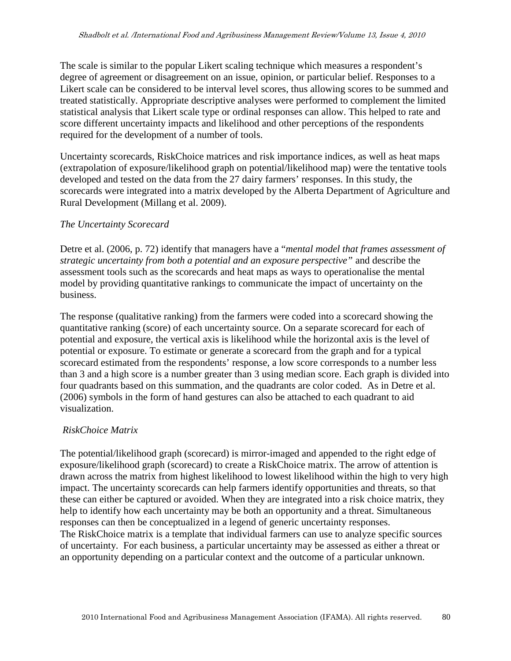The scale is similar to the popular Likert scaling technique which measures a respondent's degree of agreement or disagreement on an issue, opinion, or particular belief. Responses to a Likert scale can be considered to be interval level scores, thus allowing scores to be summed and treated statistically. Appropriate descriptive analyses were performed to complement the limited statistical analysis that Likert scale type or ordinal responses can allow. This helped to rate and score different uncertainty impacts and likelihood and other perceptions of the respondents required for the development of a number of tools.

Uncertainty scorecards, RiskChoice matrices and risk importance indices, as well as heat maps (extrapolation of exposure/likelihood graph on potential/likelihood map) were the tentative tools developed and tested on the data from the 27 dairy farmers' responses. In this study, the scorecards were integrated into a matrix developed by the Alberta Department of Agriculture and Rural Development (Millang et al. 2009).

#### *The Uncertainty Scorecard*

Detre et al. (2006, p. 72) identify that managers have a "*mental model that frames assessment of strategic uncertainty from both a potential and an exposure perspective"* and describe the assessment tools such as the scorecards and heat maps as ways to operationalise the mental model by providing quantitative rankings to communicate the impact of uncertainty on the business.

The response (qualitative ranking) from the farmers were coded into a scorecard showing the quantitative ranking (score) of each uncertainty source. On a separate scorecard for each of potential and exposure, the vertical axis is likelihood while the horizontal axis is the level of potential or exposure. To estimate or generate a scorecard from the graph and for a typical scorecard estimated from the respondents' response, a low score corresponds to a number less than 3 and a high score is a number greater than 3 using median score. Each graph is divided into four quadrants based on this summation, and the quadrants are color coded. As in Detre et al. (2006) symbols in the form of hand gestures can also be attached to each quadrant to aid visualization.

#### *RiskChoice Matrix*

The potential/likelihood graph (scorecard) is mirror-imaged and appended to the right edge of exposure/likelihood graph (scorecard) to create a RiskChoice matrix. The arrow of attention is drawn across the matrix from highest likelihood to lowest likelihood within the high to very high impact. The uncertainty scorecards can help farmers identify opportunities and threats, so that these can either be captured or avoided. When they are integrated into a risk choice matrix, they help to identify how each uncertainty may be both an opportunity and a threat. Simultaneous responses can then be conceptualized in a legend of generic uncertainty responses. The RiskChoice matrix is a template that individual farmers can use to analyze specific sources of uncertainty. For each business, a particular uncertainty may be assessed as either a threat or an opportunity depending on a particular context and the outcome of a particular unknown.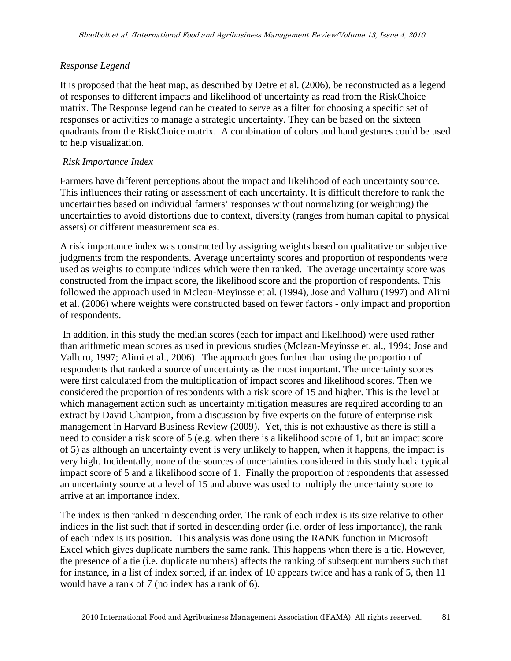#### *Response Legend*

It is proposed that the heat map, as described by Detre et al. (2006), be reconstructed as a legend of responses to different impacts and likelihood of uncertainty as read from the RiskChoice matrix. The Response legend can be created to serve as a filter for choosing a specific set of responses or activities to manage a strategic uncertainty. They can be based on the sixteen quadrants from the RiskChoice matrix. A combination of colors and hand gestures could be used to help visualization.

#### *Risk Importance Index*

Farmers have different perceptions about the impact and likelihood of each uncertainty source. This influences their rating or assessment of each uncertainty. It is difficult therefore to rank the uncertainties based on individual farmers' responses without normalizing (or weighting) the uncertainties to avoid distortions due to context, diversity (ranges from human capital to physical assets) or different measurement scales.

A risk importance index was constructed by assigning weights based on qualitative or subjective judgments from the respondents. Average uncertainty scores and proportion of respondents were used as weights to compute indices which were then ranked. The average uncertainty score was constructed from the impact score, the likelihood score and the proportion of respondents. This followed the approach used in Mclean-Meyinsse et al*.* (1994), Jose and Valluru (1997) and Alimi et al. (2006) where weights were constructed based on fewer factors - only impact and proportion of respondents.

 In addition, in this study the median scores (each for impact and likelihood) were used rather than arithmetic mean scores as used in previous studies (Mclean-Meyinsse et. al., 1994; Jose and Valluru, 1997; Alimi et al., 2006). The approach goes further than using the proportion of respondents that ranked a source of uncertainty as the most important. The uncertainty scores were first calculated from the multiplication of impact scores and likelihood scores. Then we considered the proportion of respondents with a risk score of 15 and higher. This is the level at which management action such as uncertainty mitigation measures are required according to an extract by David Champion, from a discussion by five experts on the future of enterprise risk management in Harvard Business Review (2009). Yet, this is not exhaustive as there is still a need to consider a risk score of 5 (e.g. when there is a likelihood score of 1, but an impact score of 5) as although an uncertainty event is very unlikely to happen, when it happens, the impact is very high. Incidentally, none of the sources of uncertainties considered in this study had a typical impact score of 5 and a likelihood score of 1. Finally the proportion of respondents that assessed an uncertainty source at a level of 15 and above was used to multiply the uncertainty score to arrive at an importance index.

The index is then ranked in descending order. The rank of each index is its size relative to other indices in the list such that if sorted in descending order (i.e. order of less importance), the rank of each index is its position. This analysis was done using the RANK function in Microsoft Excel which gives duplicate numbers the same rank. This happens when there is a tie. However, the presence of a tie (i.e. duplicate numbers) affects the ranking of subsequent numbers such that for instance, in a list of index sorted, if an index of 10 appears twice and has a rank of 5, then 11 would have a rank of 7 (no index has a rank of 6).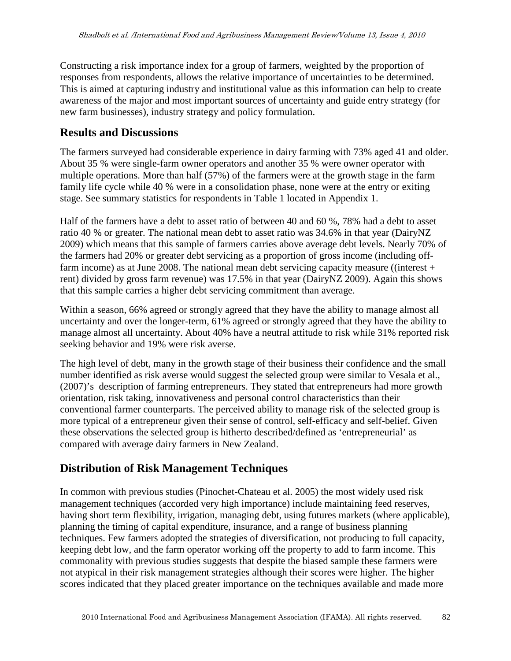Constructing a risk importance index for a group of farmers, weighted by the proportion of responses from respondents, allows the relative importance of uncertainties to be determined. This is aimed at capturing industry and institutional value as this information can help to create awareness of the major and most important sources of uncertainty and guide entry strategy (for new farm businesses), industry strategy and policy formulation.

### **Results and Discussions**

The farmers surveyed had considerable experience in dairy farming with 73% aged 41 and older. About 35 % were single-farm owner operators and another 35 % were owner operator with multiple operations. More than half (57%) of the farmers were at the growth stage in the farm family life cycle while 40 % were in a consolidation phase, none were at the entry or exiting stage. See summary statistics for respondents in Table 1 located in Appendix 1.

Half of the farmers have a debt to asset ratio of between 40 and 60 %, 78% had a debt to asset ratio 40 % or greater. The national mean debt to asset ratio was 34.6% in that year (DairyNZ 2009) which means that this sample of farmers carries above average debt levels. Nearly 70% of the farmers had 20% or greater debt servicing as a proportion of gross income (including offfarm income) as at June 2008. The national mean debt servicing capacity measure ((interest + rent) divided by gross farm revenue) was 17.5% in that year (DairyNZ 2009). Again this shows that this sample carries a higher debt servicing commitment than average.

Within a season, 66% agreed or strongly agreed that they have the ability to manage almost all uncertainty and over the longer-term, 61% agreed or strongly agreed that they have the ability to manage almost all uncertainty. About 40% have a neutral attitude to risk while 31% reported risk seeking behavior and 19% were risk averse.

The high level of debt, many in the growth stage of their business their confidence and the small number identified as risk averse would suggest the selected group were similar to Vesala et al., (2007)'s description of farming entrepreneurs. They stated that entrepreneurs had more growth orientation, risk taking, innovativeness and personal control characteristics than their conventional farmer counterparts. The perceived ability to manage risk of the selected group is more typical of a entrepreneur given their sense of control, self-efficacy and self-belief. Given these observations the selected group is hitherto described/defined as 'entrepreneurial' as compared with average dairy farmers in New Zealand.

### **Distribution of Risk Management Techniques**

In common with previous studies (Pinochet-Chateau et al. 2005) the most widely used risk management techniques (accorded very high importance) include maintaining feed reserves, having short term flexibility, irrigation, managing debt, using futures markets (where applicable), planning the timing of capital expenditure, insurance, and a range of business planning techniques. Few farmers adopted the strategies of diversification, not producing to full capacity, keeping debt low, and the farm operator working off the property to add to farm income. This commonality with previous studies suggests that despite the biased sample these farmers were not atypical in their risk management strategies although their scores were higher. The higher scores indicated that they placed greater importance on the techniques available and made more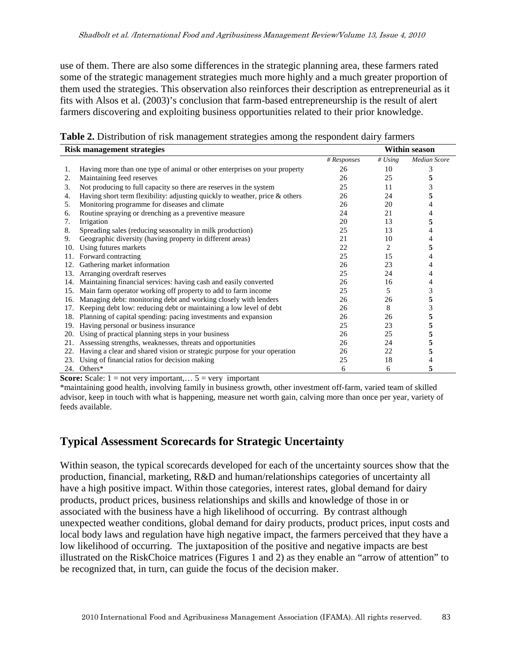use of them. There are also some differences in the strategic planning area, these farmers rated some of the strategic management strategies much more highly and a much greater proportion of them used the strategies. This observation also reinforces their description as entrepreneurial as it fits with Alsos et al. (2003)'s conclusion that farm-based entrepreneurship is the result of alert farmers discovering and exploiting business opportunities related to their prior knowledge.

**Table 2.** Distribution of risk management strategies among the respondent dairy farmers

|     | <b>Risk management strategies</b>                                           |             |           | <b>Within season</b> |
|-----|-----------------------------------------------------------------------------|-------------|-----------|----------------------|
|     |                                                                             | # Responses | # $Using$ | Median Score         |
| 1.  | Having more than one type of animal or other enterprises on your property   | 26          | 10        | 3                    |
| 2.  | Maintaining feed reserves                                                   | 26          | 25        | 5                    |
| 3.  | Not producing to full capacity so there are reserves in the system          | 25          | 11        | 3                    |
| 4.  | Having short term flexibility: adjusting quickly to weather, price & others | 26          | 24        | 5                    |
| 5.  | Monitoring programme for diseases and climate                               | 26          | 20        | 4                    |
| 6.  | Routine spraying or drenching as a preventive measure                       | 24          | 21        | 4                    |
| 7.  | Irrigation                                                                  | 20          | 13        | 5                    |
| 8.  | Spreading sales (reducing seasonality in milk production)                   | 25          | 13        |                      |
| 9.  | Geographic diversity (having property in different areas)                   | 21          | 10        | 4                    |
| 10. | Using futures markets                                                       | 22          | 2         | 5                    |
| 11. | Forward contracting                                                         | 25          | 15        | 4                    |
| 12. | Gathering market information                                                | 26          | 23        |                      |
| 13. | Arranging overdraft reserves                                                | 25          | 24        | 4                    |
| 14. | Maintaining financial services: having cash and easily converted            | 26          | 16        | 4                    |
| 15. | Main farm operator working off property to add to farm income               | 25          | 5         | 3                    |
| 16. | Managing debt: monitoring debt and working closely with lenders             | 26          | 26        | 5                    |
| 17. | Keeping debt low: reducing debt or maintaining a low level of debt          | 26          | 8         | 3                    |
| 18. | Planning of capital spending: pacing investments and expansion              | 26          | 26        | 5                    |
| 19. | Having personal or business insurance                                       | 25          | 23        | 5                    |
| 20. | Using of practical planning steps in your business                          | 26          | 25        | 5                    |
| 21. | Assessing strengths, weaknesses, threats and opportunities                  | 26          | 24        | 5                    |
| 22. | Having a clear and shared vision or strategic purpose for your operation    | 26          | 22        | 5                    |
| 23. | Using of financial ratios for decision making                               | 25          | 18        | 4                    |
|     | 24. Others*                                                                 | 6           | 6         | 5                    |

**Score:** Scale:  $1 = not$  very important,...  $5 = very$  important

\*maintaining good health, involving family in business growth, other investment off-farm, varied team of skilled advisor, keep in touch with what is happening, measure net worth gain, calving more than once per year, variety of feeds available.

### **Typical Assessment Scorecards for Strategic Uncertainty**

Within season, the typical scorecards developed for each of the uncertainty sources show that the production, financial, marketing, R&D and human/relationships categories of uncertainty all have a high positive impact. Within those categories, interest rates, global demand for dairy products, product prices, business relationships and skills and knowledge of those in or associated with the business have a high likelihood of occurring. By contrast although unexpected weather conditions, global demand for dairy products, product prices, input costs and local body laws and regulation have high negative impact, the farmers perceived that they have a low likelihood of occurring. The juxtaposition of the positive and negative impacts are best illustrated on the RiskChoice matrices (Figures 1 and 2) as they enable an "arrow of attention" to be recognized that, in turn, can guide the focus of the decision maker.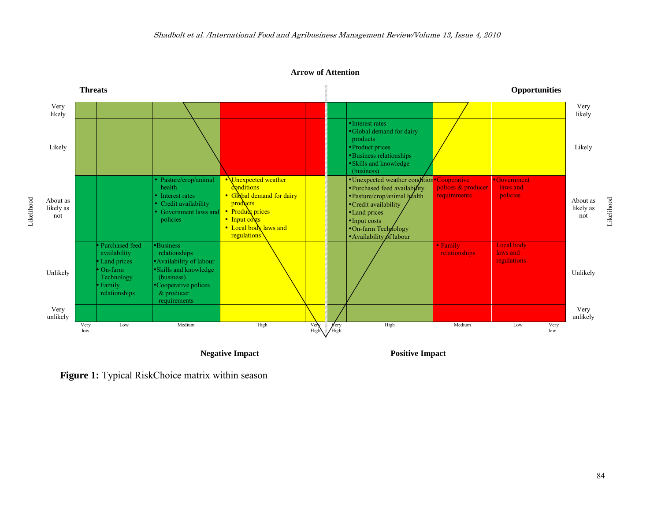**Arrow of Attention** 



**Negative Impact**

**Positive Impact**

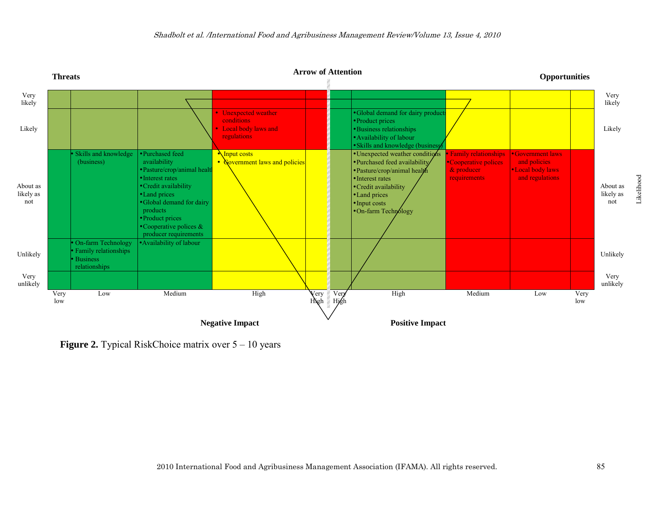

**Figure 2.** Typical RiskChoice matrix over  $5 - 10$  years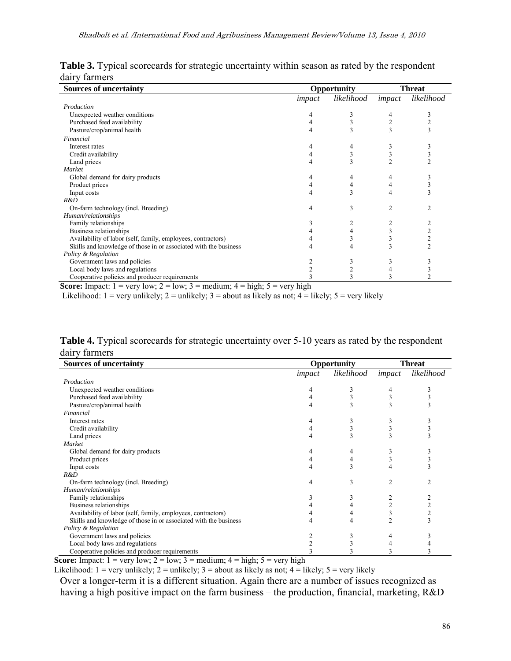| <b>Sources of uncertainty</b>                                                                                             | Opportunity | Threat     |        |                |
|---------------------------------------------------------------------------------------------------------------------------|-------------|------------|--------|----------------|
|                                                                                                                           | impact      | likelihood | impact | likelihood     |
| Production                                                                                                                |             |            |        |                |
| Unexpected weather conditions                                                                                             | 4           |            | 4      | 3              |
| Purchased feed availability                                                                                               |             |            |        |                |
| Pasture/crop/animal health                                                                                                |             |            | 3      | 3              |
| Financial                                                                                                                 |             |            |        |                |
| Interest rates                                                                                                            |             |            |        |                |
| Credit availability                                                                                                       | 4           |            | 3      |                |
| Land prices                                                                                                               |             |            | 2      |                |
| Market                                                                                                                    |             |            |        |                |
| Global demand for dairy products                                                                                          |             |            |        |                |
| Product prices                                                                                                            |             |            |        |                |
| Input costs                                                                                                               |             |            |        |                |
| R&D                                                                                                                       |             |            |        |                |
| On-farm technology (incl. Breeding)                                                                                       | 4           | 3          | 2      |                |
| Human/relationships                                                                                                       |             |            |        |                |
| Family relationships                                                                                                      |             |            |        |                |
| Business relationships                                                                                                    |             |            | 3      |                |
| Availability of labor (self, family, employees, contractors)                                                              |             |            |        | $\overline{2}$ |
| Skills and knowledge of those in or associated with the business                                                          |             |            |        | $\overline{c}$ |
| Policy & Regulation                                                                                                       |             |            |        |                |
| Government laws and policies                                                                                              |             |            |        |                |
| Local body laws and regulations                                                                                           |             |            |        |                |
| Cooperative policies and producer requirements                                                                            |             |            |        |                |
| <b>Searce Impact:</b> $1 - \text{very low: } 2 - \text{low: } 3 - \text{medium: } 4 - \text{high: } 5 - \text{very high}$ |             |            |        |                |

Table 3. Typical scorecards for strategic uncertainty within season as rated by the respondent dairy farmers

**Score:** Impact:  $1 = \text{very low}$ ;  $2 = \text{low}$ ;  $3 = \text{medium}$ ;  $4 = \text{high}$ ;  $5 = \text{very high}$ 

Likelihood:  $1 = \text{very unlikely}; 2 = \text{unlikely}; 3 = \text{about as likely as not}; 4 = \text{likely}; 5 = \text{very likely}$ 

Table 4. Typical scorecards for strategic uncertainty over 5-10 years as rated by the respondent dairy farmers

| <b>Sources of uncertainty</b>                                    |        | Opportunity | <b>Threat</b>  |                |  |
|------------------------------------------------------------------|--------|-------------|----------------|----------------|--|
|                                                                  | impact | likelihood  | impact         | likelihood     |  |
| Production                                                       |        |             |                |                |  |
| Unexpected weather conditions                                    |        | 3           | 4              | 3              |  |
| Purchased feed availability                                      |        |             |                | 3              |  |
| Pasture/crop/animal health                                       | 4      | 3           |                |                |  |
| Financial                                                        |        |             |                |                |  |
| Interest rates                                                   |        | 3           |                | 3              |  |
| Credit availability                                              | 4      | 3           |                | 3              |  |
| Land prices                                                      | 4      | 3           |                |                |  |
| Market                                                           |        |             |                |                |  |
| Global demand for dairy products                                 |        | 4           |                | 3              |  |
| Product prices                                                   | 4      | 4           |                | 3              |  |
| Input costs                                                      | 4      | 3           | 4              | 3              |  |
| R&D                                                              |        |             |                |                |  |
| On-farm technology (incl. Breeding)                              | 4      | 3           | 2              | $\mathfrak{D}$ |  |
| Human/relationships                                              |        |             |                |                |  |
| Family relationships                                             |        | 3           |                |                |  |
| Business relationships                                           |        | 4           |                |                |  |
| Availability of labor (self, family, employees, contractors)     |        | 4           | 3              | $\overline{2}$ |  |
| Skills and knowledge of those in or associated with the business |        | 4           | $\overline{2}$ | 3              |  |
| Policy & Regulation                                              |        |             |                |                |  |
| Government laws and policies                                     |        | 3           |                |                |  |
| Local body laws and regulations                                  |        | 3           |                |                |  |
| Cooperative policies and producer requirements                   |        |             |                |                |  |

Likelihood:  $1 = \text{very unlikely}$ ;  $2 = \text{unlikely}$ ;  $3 = \text{about as likely as not}$ ;  $4 = \text{likely}$ ;  $5 = \text{very likely}$ 

Over a longer-term it is a different situation. Again there are a number of issues recognized as having a high positive impact on the farm business – the production, financial, marketing, R&D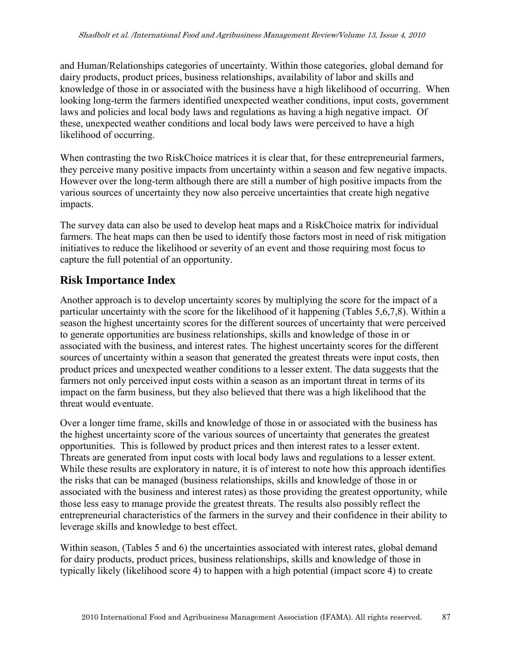and Human/Relationships categories of uncertainty. Within those categories, global demand for dairy products, product prices, business relationships, availability of labor and skills and knowledge of those in or associated with the business have a high likelihood of occurring. When looking long-term the farmers identified unexpected weather conditions, input costs, government laws and policies and local body laws and regulations as having a high negative impact. Of these, unexpected weather conditions and local body laws were perceived to have a high likelihood of occurring.

When contrasting the two RiskChoice matrices it is clear that, for these entrepreneurial farmers, they perceive many positive impacts from uncertainty within a season and few negative impacts. However over the long-term although there are still a number of high positive impacts from the various sources of uncertainty they now also perceive uncertainties that create high negative impacts.

The survey data can also be used to develop heat maps and a RiskChoice matrix for individual farmers. The heat maps can then be used to identify those factors most in need of risk mitigation initiatives to reduce the likelihood or severity of an event and those requiring most focus to capture the full potential of an opportunity.

# **Risk Importance Index**

Another approach is to develop uncertainty scores by multiplying the score for the impact of a particular uncertainty with the score for the likelihood of it happening (Tables 5,6,7,8). Within a season the highest uncertainty scores for the different sources of uncertainty that were perceived to generate opportunities are business relationships, skills and knowledge of those in or associated with the business, and interest rates. The highest uncertainty scores for the different sources of uncertainty within a season that generated the greatest threats were input costs, then product prices and unexpected weather conditions to a lesser extent. The data suggests that the farmers not only perceived input costs within a season as an important threat in terms of its impact on the farm business, but they also believed that there was a high likelihood that the threat would eventuate.

Over a longer time frame, skills and knowledge of those in or associated with the business has the highest uncertainty score of the various sources of uncertainty that generates the greatest opportunities. This is followed by product prices and then interest rates to a lesser extent. Threats are generated from input costs with local body laws and regulations to a lesser extent. While these results are exploratory in nature, it is of interest to note how this approach identifies the risks that can be managed (business relationships, skills and knowledge of those in or associated with the business and interest rates) as those providing the greatest opportunity, while those less easy to manage provide the greatest threats. The results also possibly reflect the entrepreneurial characteristics of the farmers in the survey and their confidence in their ability to leverage skills and knowledge to best effect.

Within season, (Tables 5 and 6) the uncertainties associated with interest rates, global demand for dairy products, product prices, business relationships, skills and knowledge of those in typically likely (likelihood score 4) to happen with a high potential (impact score 4) to create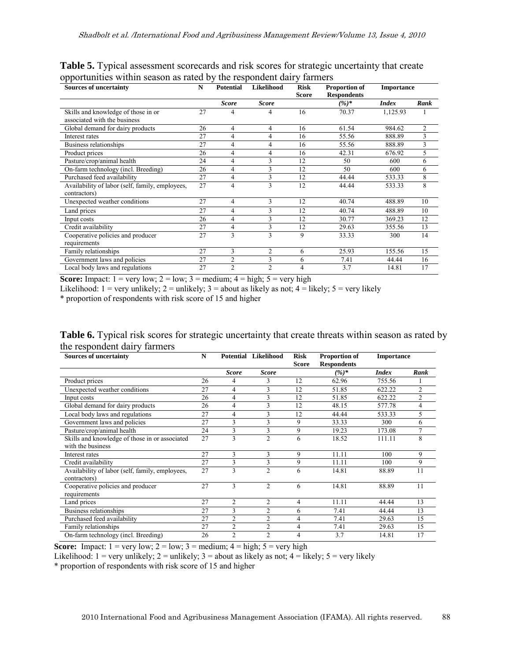| <b>Sources of uncertainty</b>                                       | N  | <b>Potential</b> | Likelihood     | <b>Risk</b><br><b>Score</b> | <b>Proportion of</b><br><b>Respondents</b> | <b>Importance</b> |      |
|---------------------------------------------------------------------|----|------------------|----------------|-----------------------------|--------------------------------------------|-------------------|------|
|                                                                     |    | <b>Score</b>     | <b>Score</b>   |                             | $(%)^*$                                    | <b>Index</b>      | Rank |
| Skills and knowledge of those in or<br>associated with the business | 27 | 4                | 4              | 16                          | 70.37                                      | 1,125.93          |      |
| Global demand for dairy products                                    | 26 | 4                | 4              | 16                          | 61.54                                      | 984.62            | 2    |
| Interest rates                                                      | 27 | 4                | 4              | 16                          | 55.56                                      | 888.89            | 3    |
| Business relationships                                              | 27 | 4                | 4              | 16                          | 55.56                                      | 888.89            | 3    |
| Product prices                                                      | 26 | 4                | 4              | 16                          | 42.31                                      | 676.92            | 5    |
| Pasture/crop/animal health                                          | 24 | 4                | 3              | 12                          | 50                                         | 600               | 6    |
| On-farm technology (incl. Breeding)                                 | 26 | 4                | 3              | 12                          | 50                                         | 600               | 6    |
| Purchased feed availability                                         | 27 | 4                | 3              | 12                          | 44.44                                      | 533.33            | 8    |
| Availability of labor (self, family, employees,<br>contractors)     | 27 | 4                | 3              | 12                          | 44.44                                      | 533.33            | 8    |
| Unexpected weather conditions                                       | 27 | 4                | 3              | 12                          | 40.74                                      | 488.89            | 10   |
| Land prices                                                         | 27 | 4                | 3              | 12                          | 40.74                                      | 488.89            | 10   |
| Input costs                                                         | 26 | 4                | 3              | 12                          | 30.77                                      | 369.23            | 12   |
| Credit availability                                                 | 27 | 4                | 3              | 12                          | 29.63                                      | 355.56            | 13   |
| Cooperative policies and producer                                   | 27 | 3                | 3              | 9                           | 33.33                                      | 300               | 14   |
| requirements                                                        |    |                  |                |                             |                                            |                   |      |
| Family relationships                                                | 27 | 3                | 2              | 6                           | 25.93                                      | 155.56            | 15   |
| Government laws and policies                                        | 27 | $\overline{c}$   | 3              | 6                           | 7.41                                       | 44.44             | 16   |
| Local body laws and regulations                                     | 27 | $\overline{c}$   | $\overline{2}$ | 4                           | 3.7                                        | 14.81             | 17   |

**Table 5.** Typical assessment scorecards and risk scores for strategic uncertainty that create opportunities within season as rated by the respondent dairy farmers

**Score:** Impact:  $1 = \text{very low}$ ;  $2 = \text{low}$ ;  $3 = \text{medium}$ ;  $4 = \text{high}$ ;  $5 = \text{very high}$ 

Likelihood:  $1 = \text{very unlikely}$ ;  $2 = \text{unlikely}$ ;  $3 = \text{about as likely as not}$ ;  $4 = \text{likely}$ ;  $5 = \text{very likely}$ 

\* proportion of respondents with risk score of 15 and higher

| <b>Table 6.</b> Typical risk scores for strategic uncertainty that create threats within season as rated by |  |
|-------------------------------------------------------------------------------------------------------------|--|
| the respondent dairy farmers                                                                                |  |

| <b>Sources of uncertainty</b>                   | N  |                | Potential Likelihood | <b>Risk</b>  | <b>Proportion of</b> | <b>Importance</b> |        |
|-------------------------------------------------|----|----------------|----------------------|--------------|----------------------|-------------------|--------|
|                                                 |    |                |                      | <b>Score</b> | <b>Respondents</b>   |                   |        |
|                                                 |    | <b>Score</b>   | <b>Score</b>         |              | $(%)^*$              | <b>Index</b>      | Rank   |
| Product prices                                  | 26 | 4              | 3                    | 12           | 62.96                | 755.56            |        |
| Unexpected weather conditions                   | 27 | 4              | 3                    | 12           | 51.85                | 622.22            | 2      |
| Input costs                                     | 26 | 4              | 3                    | 12           | 51.85                | 622.22            | 2      |
| Global demand for dairy products                | 26 | 4              | 3                    | 12           | 48.15                | 577.78            | 4      |
| Local body laws and regulations                 | 27 | 4              | 3                    | 12           | 44.44                | 533.33            | 5      |
| Government laws and policies                    | 27 | 3              | 3                    | 9            | 33.33                | 300               | 6      |
| Pasture/crop/animal health                      | 24 | 3              | 3                    | 9            | 19.23                | 173.08            | $\tau$ |
| Skills and knowledge of those in or associated  | 27 | 3              | $\overline{c}$       | 6            | 18.52                | 111.11            | 8      |
| with the business                               |    |                |                      |              |                      |                   |        |
| Interest rates                                  | 27 | 3              | 3                    | 9            | 11.11                | 100               | 9      |
| Credit availability                             | 27 | 3              | 3                    | 9            | 11.11                | 100               | 9      |
| Availability of labor (self, family, employees, | 27 | 3              | $\overline{2}$       | 6            | 14.81                | 88.89             | 11     |
| contractors)                                    |    |                |                      |              |                      |                   |        |
| Cooperative policies and producer               | 27 | 3              | $\overline{c}$       | 6            | 14.81                | 88.89             | 11     |
| requirements                                    |    |                |                      |              |                      |                   |        |
| Land prices                                     | 27 | 2              | 2                    | 4            | 11.11                | 44.44             | 13     |
| Business relationships                          | 27 | 3              | $\overline{c}$       | 6            | 7.41                 | 44.44             | 13     |
| Purchased feed availability                     | 27 | $\overline{2}$ | $\overline{c}$       | 4            | 7.41                 | 29.63             | 15     |
| Family relationships                            | 27 | 2              | 2                    | 4            | 7.41                 | 29.63             | 15     |
| On-farm technology (incl. Breeding)             | 26 | $\overline{2}$ | $\overline{c}$       | 4            | 3.7                  | 14.81             | 17     |

**Score:** Impact:  $1 = \text{very low}; 2 = \text{low}; 3 = \text{medium}; 4 = \text{high}; 5 = \text{very high}$ 

Likelihood:  $1 = \text{very unlikely}$ ;  $2 = \text{unlikely}$ ;  $3 = \text{about as likely as not}$ ;  $4 = \text{likely}$ ;  $5 = \text{very likely}$ 

\* proportion of respondents with risk score of 15 and higher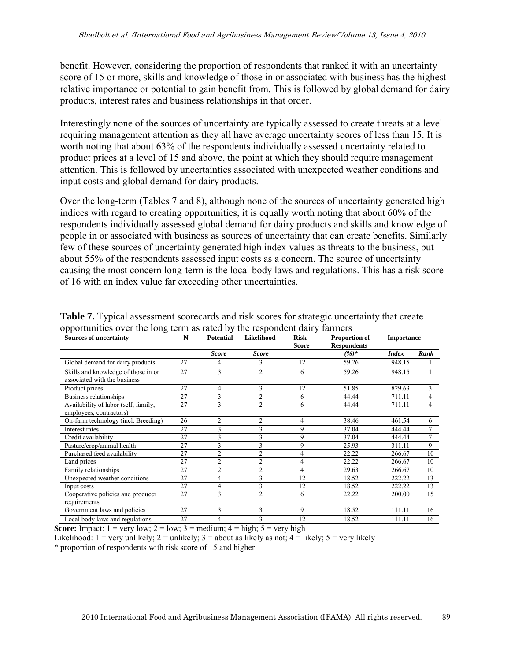benefit. However, considering the proportion of respondents that ranked it with an uncertainty score of 15 or more, skills and knowledge of those in or associated with business has the highest relative importance or potential to gain benefit from. This is followed by global demand for dairy products, interest rates and business relationships in that order.

Interestingly none of the sources of uncertainty are typically assessed to create threats at a level requiring management attention as they all have average uncertainty scores of less than 15. It is worth noting that about 63% of the respondents individually assessed uncertainty related to product prices at a level of 15 and above, the point at which they should require management attention. This is followed by uncertainties associated with unexpected weather conditions and input costs and global demand for dairy products.

Over the long-term (Tables 7 and 8), although none of the sources of uncertainty generated high indices with regard to creating opportunities, it is equally worth noting that about 60% of the respondents individually assessed global demand for dairy products and skills and knowledge of people in or associated with business as sources of uncertainty that can create benefits. Similarly few of these sources of uncertainty generated high index values as threats to the business, but about 55% of the respondents assessed input costs as a concern. The source of uncertainty causing the most concern long-term is the local body laws and regulations. This has a risk score of 16 with an index value far exceeding other uncertainties.

| <b>Sources of uncertainty</b>                                       | N  | Likelihood<br><b>Potential</b><br><b>Risk</b><br><b>Score</b> |                | <b>Proportion of</b><br><b>Respondents</b> | <b>Importance</b> |              |      |
|---------------------------------------------------------------------|----|---------------------------------------------------------------|----------------|--------------------------------------------|-------------------|--------------|------|
|                                                                     |    | <b>Score</b>                                                  | <b>Score</b>   |                                            | $(%)^*$           | <b>Index</b> | Rank |
| Global demand for dairy products                                    | 27 | 4                                                             | 3              | 12                                         | 59.26             | 948.15       |      |
| Skills and knowledge of those in or<br>associated with the business | 27 | 3                                                             | $\overline{2}$ | 6                                          | 59.26             | 948.15       |      |
| Product prices                                                      | 27 | 4                                                             | 3              | 12                                         | 51.85             | 829.63       | 3    |
| Business relationships                                              | 27 | 3                                                             | $\overline{2}$ | 6                                          | 44.44             | 711.11       | 4    |
| Availability of labor (self, family,<br>employees, contractors)     | 27 | 3                                                             | $\overline{2}$ | 6                                          | 44.44             | 711.11       | 4    |
| On-farm technology (incl. Breeding)                                 | 26 | $\overline{2}$                                                | $\overline{2}$ | 4                                          | 38.46             | 461.54       | 6    |
| Interest rates                                                      | 27 | 3                                                             | 3              | 9                                          | 37.04             | 444.44       | 7    |
| Credit availability                                                 | 27 | 3                                                             | 3              | 9                                          | 37.04             | 444.44       | 7    |
| Pasture/crop/animal health                                          | 27 | 3                                                             | 3              | 9                                          | 25.93             | 311.11       | 9    |
| Purchased feed availability                                         | 27 | $\overline{c}$                                                | 2              | 4                                          | 22.22             | 266.67       | 10   |
| Land prices                                                         | 27 | $\mathfrak{D}$                                                | $\overline{c}$ | 4                                          | 22.22             | 266.67       | 10   |
| Family relationships                                                | 27 | $\overline{2}$                                                | $\overline{2}$ | $\overline{4}$                             | 29.63             | 266.67       | 10   |
| Unexpected weather conditions                                       | 27 | 4                                                             | 3              | 12                                         | 18.52             | 222.22       | 13   |
| Input costs                                                         | 27 | 4                                                             | 3              | 12                                         | 18.52             | 222.22       | 13   |
| Cooperative policies and producer<br>requirements                   | 27 | 3                                                             | $\overline{2}$ | 6                                          | 22.22             | 200.00       | 15   |
| Government laws and policies                                        | 27 | 3                                                             | 3              | 9                                          | 18.52             | 111.11       | 16   |
| Local body laws and regulations                                     | 27 | 4                                                             | 3              | 12                                         | 18.52             | 111.11       | 16   |

**Table 7.** Typical assessment scorecards and risk scores for strategic uncertainty that create opportunities over the long term as rated by the respondent dairy farmers

**Score:** Impact:  $1 = \text{very low}$ ;  $2 = \text{low}$ ;  $3 = \text{medium}$ ;  $4 = \text{high}$ ;  $5 = \text{very high}$ 

Likelihood:  $1 = \text{very unlikely}$ ;  $2 = \text{unlikely}$ ;  $3 = \text{about as likely as not}$ ;  $4 = \text{likely}$ ;  $5 = \text{very likely}$ \* proportion of respondents with risk score of 15 and higher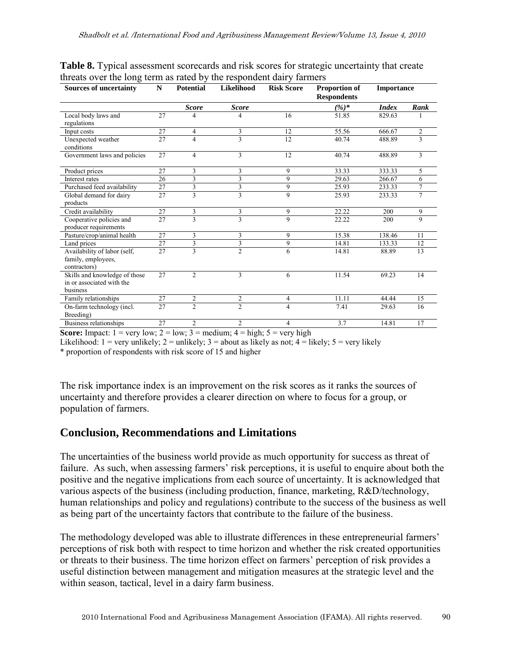| <b>Sources of uncertainty</b>                                          | ${\bf N}$       | <b>Potential</b>        | Likelihood     | <b>Risk Score</b> | <b>Proportion of</b><br><b>Respondents</b> | <b>Importance</b> |                |
|------------------------------------------------------------------------|-----------------|-------------------------|----------------|-------------------|--------------------------------------------|-------------------|----------------|
|                                                                        |                 | <b>Score</b>            | <b>Score</b>   |                   | $(%)^*$                                    | <b>Index</b>      | Rank           |
| Local body laws and<br>regulations                                     | 27              | 4                       | 4              | 16                | 51.85                                      | 829.63            |                |
| Input costs                                                            | 27              | $\overline{4}$          | 3              | 12                | 55.56                                      | 666.67            | $\mathfrak{2}$ |
| Unexpected weather<br>conditions                                       | 27              | 4                       | 3              | 12                | 40.74                                      | 488.89            | 3              |
| Government laws and policies                                           | 27              | $\overline{4}$          | 3              | 12                | 40.74                                      | 488.89            | 3              |
| Product prices                                                         | 27              | 3                       | 3              | 9                 | 33.33                                      | 333.33            | 5              |
| Interest rates                                                         | 26              | 3                       | 3              | 9                 | 29.63                                      | 266.67            | 6              |
| Purchased feed availability                                            | 27              | 3                       | 3              | 9                 | 25.93                                      | 233.33            | $\overline{7}$ |
| Global demand for dairy<br>products                                    | 27              | 3                       | 3              | 9                 | 25.93                                      | 233.33            | $\overline{7}$ |
| Credit availability                                                    | 27              | 3                       | 3              | 9                 | 22.22                                      | 200               | 9              |
| Cooperative policies and<br>producer requirements                      | 27              | 3                       | 3              | 9                 | 22.22                                      | 200               | 9              |
| Pasture/crop/animal health                                             | 27              | 3                       | 3              | 9                 | 15.38                                      | 138.46            | 11             |
| Land prices                                                            | 27              | 3                       | 3              | 9                 | 14.81                                      | 133.33            | 12             |
| Availability of labor (self,<br>family, employees,<br>contractors)     | $\overline{27}$ | $\overline{\mathbf{3}}$ | $\overline{2}$ | 6                 | 14.81                                      | 88.89             | 13             |
| Skills and knowledge of those<br>in or associated with the<br>business | 27              | $\mathcal{D}_{\alpha}$  | 3              | 6                 | 11.54                                      | 69.23             | 14             |
| Family relationships                                                   | 27              | $\overline{2}$          | $\overline{c}$ | 4                 | 11.11                                      | 44.44             | 15             |
| On-farm technology (incl.<br>Breeding)                                 | 27              | $\overline{2}$          | $\overline{2}$ | 4                 | 7.41                                       | 29.63             | 16             |
| Business relationships                                                 | 27              | $\overline{2}$          | $\overline{c}$ | 4                 | 3.7                                        | 14.81             | 17             |

**Table 8.** Typical assessment scorecards and risk scores for strategic uncertainty that create threats over the long term as rated by the respondent dairy farmers

**Score:** Impact:  $1 = \text{very low: } 2 = \text{low: } 3 = \text{medium: } 4 = \text{high: } 5 = \text{very high}$ 

Likelihood:  $1 = \text{very unlikely}$ ;  $2 = \text{unlikely}$ ;  $3 = \text{about as likely as not}$ ;  $4 = \text{likely}$ ;  $5 = \text{very likely}$ 

\* proportion of respondents with risk score of 15 and higher

The risk importance index is an improvement on the risk scores as it ranks the sources of uncertainty and therefore provides a clearer direction on where to focus for a group, or population of farmers.

### **Conclusion, Recommendations and Limitations**

The uncertainties of the business world provide as much opportunity for success as threat of failure. As such, when assessing farmers' risk perceptions, it is useful to enquire about both the positive and the negative implications from each source of uncertainty. It is acknowledged that various aspects of the business (including production, finance, marketing, R&D/technology, human relationships and policy and regulations) contribute to the success of the business as well as being part of the uncertainty factors that contribute to the failure of the business.

The methodology developed was able to illustrate differences in these entrepreneurial farmers' perceptions of risk both with respect to time horizon and whether the risk created opportunities or threats to their business. The time horizon effect on farmers' perception of risk provides a useful distinction between management and mitigation measures at the strategic level and the within season, tactical, level in a dairy farm business.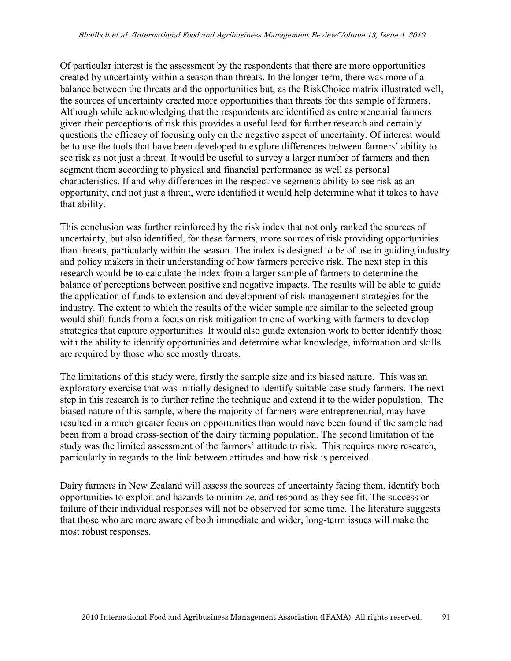Of particular interest is the assessment by the respondents that there are more opportunities created by uncertainty within a season than threats. In the longer-term, there was more of a balance between the threats and the opportunities but, as the RiskChoice matrix illustrated well, the sources of uncertainty created more opportunities than threats for this sample of farmers. Although while acknowledging that the respondents are identified as entrepreneurial farmers given their perceptions of risk this provides a useful lead for further research and certainly questions the efficacy of focusing only on the negative aspect of uncertainty. Of interest would be to use the tools that have been developed to explore differences between farmers' ability to see risk as not just a threat. It would be useful to survey a larger number of farmers and then segment them according to physical and financial performance as well as personal characteristics. If and why differences in the respective segments ability to see risk as an opportunity, and not just a threat, were identified it would help determine what it takes to have that ability.

This conclusion was further reinforced by the risk index that not only ranked the sources of uncertainty, but also identified, for these farmers, more sources of risk providing opportunities than threats, particularly within the season. The index is designed to be of use in guiding industry and policy makers in their understanding of how farmers perceive risk. The next step in this research would be to calculate the index from a larger sample of farmers to determine the balance of perceptions between positive and negative impacts. The results will be able to guide the application of funds to extension and development of risk management strategies for the industry. The extent to which the results of the wider sample are similar to the selected group would shift funds from a focus on risk mitigation to one of working with farmers to develop strategies that capture opportunities. It would also guide extension work to better identify those with the ability to identify opportunities and determine what knowledge, information and skills are required by those who see mostly threats.

The limitations of this study were, firstly the sample size and its biased nature. This was an exploratory exercise that was initially designed to identify suitable case study farmers. The next step in this research is to further refine the technique and extend it to the wider population. The biased nature of this sample, where the majority of farmers were entrepreneurial, may have resulted in a much greater focus on opportunities than would have been found if the sample had been from a broad cross-section of the dairy farming population. The second limitation of the study was the limited assessment of the farmers' attitude to risk. This requires more research, particularly in regards to the link between attitudes and how risk is perceived.

Dairy farmers in New Zealand will assess the sources of uncertainty facing them, identify both opportunities to exploit and hazards to minimize, and respond as they see fit. The success or failure of their individual responses will not be observed for some time. The literature suggests that those who are more aware of both immediate and wider, long-term issues will make the most robust responses.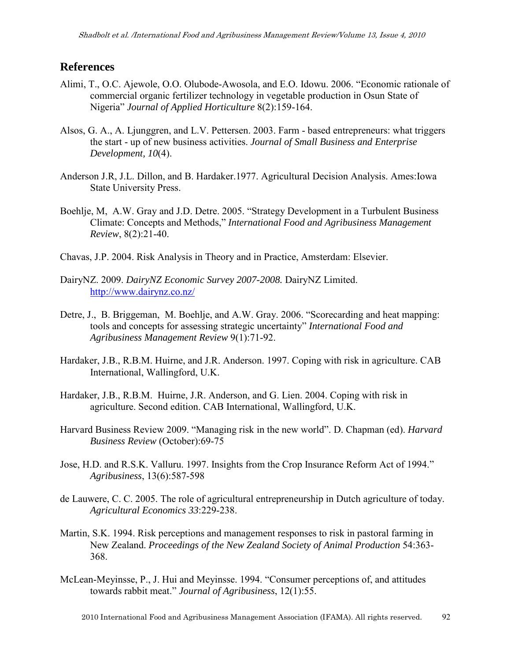#### **References**

- Alimi, T., O.C. Ajewole, O.O. Olubode-Awosola, and E.O. Idowu. 2006. "Economic rationale of commercial organic fertilizer technology in vegetable production in Osun State of Nigeria" *Journal of Applied Horticulture* 8(2):159-164.
- Alsos, G. A., A. Ljunggren, and L.V. Pettersen. 2003. Farm based entrepreneurs: what triggers the start - up of new business activities. *Journal of Small Business and Enterprise Development, 10*(4).
- Anderson J.R, J.L. Dillon, and B. Hardaker.1977. Agricultural Decision Analysis. Ames:Iowa State University Press.
- Boehlje, M, A.W. Gray and J.D. Detre. 2005. "Strategy Development in a Turbulent Business Climate: Concepts and Methods," *International Food and Agribusiness Management Review*, 8(2):21-40.
- Chavas, J.P. 2004. Risk Analysis in Theory and in Practice, Amsterdam: Elsevier.
- DairyNZ. 2009. *DairyNZ Economic Survey 2007-2008.* DairyNZ Limited. http://www.dairynz.co.nz/
- Detre, J., B. Briggeman, M. Boehlje, and A.W. Gray. 2006. "Scorecarding and heat mapping: tools and concepts for assessing strategic uncertainty" *International Food and Agribusiness Management Review* 9(1):71-92.
- Hardaker, J.B., R.B.M. Huirne, and J.R. Anderson. 1997. Coping with risk in agriculture. CAB International, Wallingford, U.K.
- Hardaker, J.B., R.B.M. Huirne, J.R. Anderson, and G. Lien. 2004. Coping with risk in agriculture. Second edition. CAB International, Wallingford, U.K.
- Harvard Business Review 2009. "Managing risk in the new world". D. Chapman (ed). *Harvard Business Review* (October):69-75
- Jose, H.D. and R.S.K. Valluru. 1997. Insights from the Crop Insurance Reform Act of 1994." *Agribusiness*, 13(6):587-598
- de Lauwere, C. C. 2005. The role of agricultural entrepreneurship in Dutch agriculture of today. *Agricultural Economics 33*:229-238.
- Martin, S.K. 1994. Risk perceptions and management responses to risk in pastoral farming in New Zealand. *Proceedings of the New Zealand Society of Animal Production* 54:363- 368.
- McLean-Meyinsse, P., J. Hui and Meyinsse. 1994. "Consumer perceptions of, and attitudes towards rabbit meat." *Journal of Agribusiness*, 12(1):55.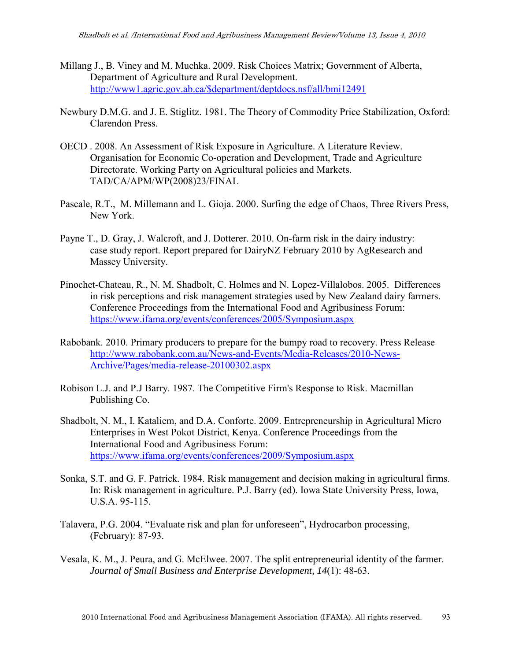- Millang J., B. Viney and M. Muchka. 2009. Risk Choices Matrix; Government of Alberta, Department of Agriculture and Rural Development. http://www1.agric.gov.ab.ca/\$department/deptdocs.nsf/all/bmi12491
- Newbury D.M.G. and J. E. Stiglitz. 1981. The Theory of Commodity Price Stabilization, Oxford: Clarendon Press.
- OECD . 2008. An Assessment of Risk Exposure in Agriculture. A Literature Review. Organisation for Economic Co-operation and Development, Trade and Agriculture Directorate. Working Party on Agricultural policies and Markets. TAD/CA/APM/WP(2008)23/FINAL
- Pascale, R.T., M. Millemann and L. Gioja. 2000. Surfing the edge of Chaos, Three Rivers Press, New York.
- Payne T., D. Gray, J. Walcroft, and J. Dotterer. 2010. On-farm risk in the dairy industry: case study report. Report prepared for DairyNZ February 2010 by AgResearch and Massey University.
- Pinochet-Chateau, R., N. M. Shadbolt, C. Holmes and N. Lopez-Villalobos. 2005. Differences in risk perceptions and risk management strategies used by New Zealand dairy farmers. Conference Proceedings from the International Food and Agribusiness Forum: https://www.ifama.org/events/conferences/2005/Symposium.aspx
- Rabobank. 2010. Primary producers to prepare for the bumpy road to recovery. Press Release http://www.rabobank.com.au/News-and-Events/Media-Releases/2010-News-Archive/Pages/media-release-20100302.aspx
- Robison L.J. and P.J Barry. 1987. The Competitive Firm's Response to Risk. Macmillan Publishing Co.
- Shadbolt, N. M., I. Kataliem, and D.A. Conforte. 2009. Entrepreneurship in Agricultural Micro Enterprises in West Pokot District, Kenya. Conference Proceedings from the International Food and Agribusiness Forum: https://www.ifama.org/events/conferences/2009/Symposium.aspx
- Sonka, S.T. and G. F. Patrick. 1984. Risk management and decision making in agricultural firms. In: Risk management in agriculture. P.J. Barry (ed). Iowa State University Press, Iowa, U.S.A. 95-115.
- Talavera, P.G. 2004. "Evaluate risk and plan for unforeseen", Hydrocarbon processing, (February): 87-93.
- Vesala, K. M., J. Peura, and G. McElwee. 2007. The split entrepreneurial identity of the farmer. *Journal of Small Business and Enterprise Development, 14*(1): 48-63.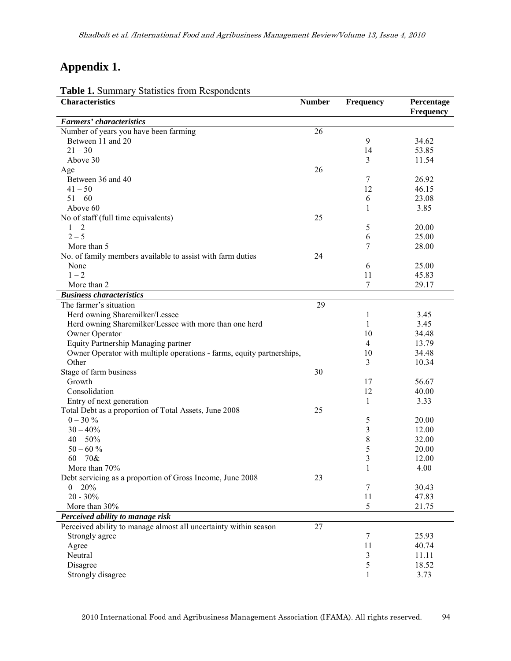# **Appendix 1.**

| <b>Characteristics</b>                                                | <b>Number</b> | <b>Frequency</b> | Percentage<br><b>Frequency</b> |
|-----------------------------------------------------------------------|---------------|------------------|--------------------------------|
| Farmers' characteristics                                              |               |                  |                                |
| Number of years you have been farming                                 | 26            |                  |                                |
| Between 11 and 20                                                     |               | 9                | 34.62                          |
| $21 - 30$                                                             |               | 14               | 53.85                          |
| Above 30                                                              |               | 3                | 11.54                          |
| Age                                                                   | 26            |                  |                                |
| Between 36 and 40                                                     |               | 7                | 26.92                          |
| $41 - 50$                                                             |               | 12               | 46.15                          |
| $51 - 60$                                                             |               | 6                | 23.08                          |
| Above 60                                                              |               | 1                | 3.85                           |
| No of staff (full time equivalents)                                   | 25            |                  |                                |
| $1 - 2$                                                               |               | 5                | 20.00                          |
| $2 - 5$                                                               |               | 6                | 25.00                          |
| More than 5                                                           |               | 7                | 28.00                          |
| No. of family members available to assist with farm duties            | 24            |                  |                                |
| None                                                                  |               | 6                | 25.00                          |
| $1 - 2$                                                               |               | 11               | 45.83                          |
| More than 2                                                           |               | 7                | 29.17                          |
| <b>Business characteristics</b>                                       |               |                  |                                |
| The farmer's situation                                                | 29            |                  |                                |
| Herd owning Sharemilker/Lessee                                        |               | 1                | 3.45                           |
| Herd owning Sharemilker/Lessee with more than one herd                |               | 1                | 3.45                           |
| Owner Operator                                                        |               | 10               | 34.48                          |
| Equity Partnership Managing partner                                   |               | 4                | 13.79                          |
| Owner Operator with multiple operations - farms, equity partnerships, |               | 10               | 34.48                          |
| Other                                                                 |               | 3                | 10.34                          |
| Stage of farm business                                                | 30            |                  |                                |
| Growth                                                                |               | 17               | 56.67                          |
| Consolidation                                                         |               | 12               | 40.00                          |
| Entry of next generation                                              |               | $\mathbf{1}$     | 3.33                           |
| Total Debt as a proportion of Total Assets, June 2008                 | 25            |                  |                                |
| $0 - 30 \%$                                                           |               | 5                | 20.00                          |
| $30 - 40\%$                                                           |               | 3                | 12.00                          |
| $40 - 50\%$                                                           |               | 8                | 32.00                          |
| $50 - 60%$                                                            |               | 5                | 20.00                          |
| $60 - 70$ &                                                           |               | 3                | 12.00                          |
| More than 70%                                                         |               | $\mathbf{1}$     | 4.00                           |
| Debt servicing as a proportion of Gross Income, June 2008             | 23            |                  |                                |
| $0 - 20%$                                                             |               | 7                | 30.43                          |
| $20 - 30\%$                                                           |               | 11               | 47.83                          |
| More than 30%                                                         |               | 5                | 21.75                          |
| Perceived ability to manage risk                                      |               |                  |                                |
| Perceived ability to manage almost all uncertainty within season      | 27            |                  |                                |
| Strongly agree                                                        |               | $\tau$           | 25.93                          |
| Agree                                                                 |               | 11               | 40.74                          |
| Neutral                                                               |               | 3                | 11.11                          |
| Disagree                                                              |               | 5                | 18.52                          |
| Strongly disagree                                                     |               | 1                | 3.73                           |

**Table 1.** Summary Statistics from Respondents